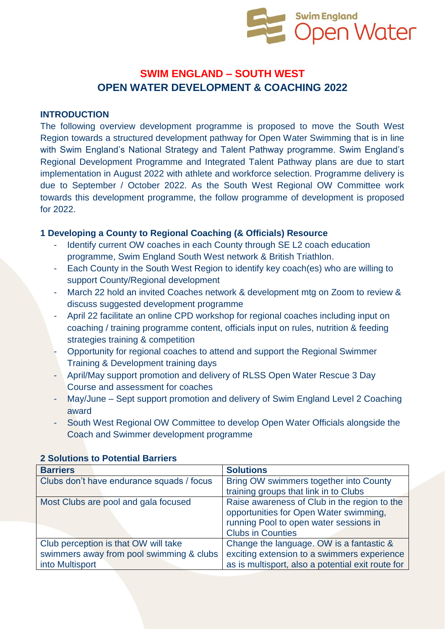

# **SWIM ENGLAND – SOUTH WEST OPEN WATER DEVELOPMENT & COACHING 2022**

#### **INTRODUCTION**

The following overview development programme is proposed to move the South West Region towards a structured development pathway for Open Water Swimming that is in line with Swim England's National Strategy and Talent Pathway programme. Swim England's Regional Development Programme and Integrated Talent Pathway plans are due to start implementation in August 2022 with athlete and workforce selection. Programme delivery is due to September / October 2022. As the South West Regional OW Committee work towards this development programme, the follow programme of development is proposed for 2022.

#### **1 Developing a County to Regional Coaching (& Officials) Resource**

- Identify current OW coaches in each County through SE L2 coach education programme, Swim England South West network & British Triathlon.
- Each County in the South West Region to identify key coach(es) who are willing to support County/Regional development
- March 22 hold an invited Coaches network & development mtg on Zoom to review & discuss suggested development programme
- April 22 facilitate an online CPD workshop for regional coaches including input on coaching / training programme content, officials input on rules, nutrition & feeding strategies training & competition
- Opportunity for regional coaches to attend and support the Regional Swimmer Training & Development training days
- April/May support promotion and delivery of RLSS Open Water Rescue 3 Day Course and assessment for coaches
- May/June Sept support promotion and delivery of Swim England Level 2 Coaching award
- South West Regional OW Committee to develop Open Water Officials alongside the Coach and Swimmer development programme

| <b>Barriers</b>                           | <b>Solutions</b>                                  |
|-------------------------------------------|---------------------------------------------------|
| Clubs don't have endurance squads / focus | Bring OW swimmers together into County            |
|                                           | training groups that link in to Clubs             |
| Most Clubs are pool and gala focused      | Raise awareness of Club in the region to the      |
|                                           | opportunities for Open Water swimming,            |
|                                           | running Pool to open water sessions in            |
|                                           | <b>Clubs in Counties</b>                          |
| Club perception is that OW will take      | Change the language. OW is a fantastic &          |
| swimmers away from pool swimming & clubs  | exciting extension to a swimmers experience       |
| into Multisport                           | as is multisport, also a potential exit route for |

#### **2 Solutions to Potential Barriers**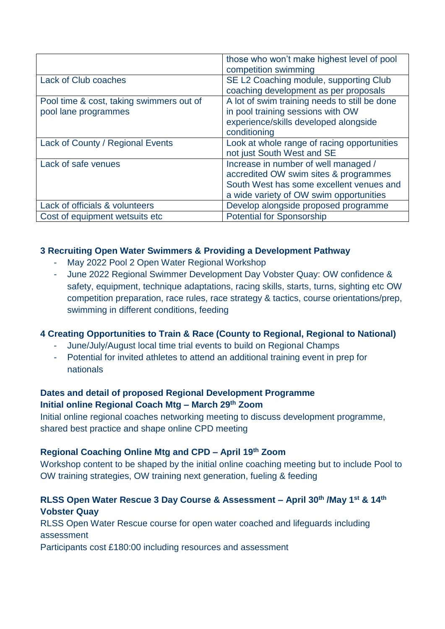|                                                                  | those who won't make highest level of pool<br>competition swimming                                                                                                   |
|------------------------------------------------------------------|----------------------------------------------------------------------------------------------------------------------------------------------------------------------|
| <b>Lack of Club coaches</b>                                      | SE L2 Coaching module, supporting Club<br>coaching development as per proposals                                                                                      |
| Pool time & cost, taking swimmers out of<br>pool lane programmes | A lot of swim training needs to still be done<br>in pool training sessions with OW<br>experience/skills developed alongside<br>conditioning                          |
| Lack of County / Regional Events                                 | Look at whole range of racing opportunities<br>not just South West and SE                                                                                            |
| Lack of safe venues                                              | Increase in number of well managed /<br>accredited OW swim sites & programmes<br>South West has some excellent venues and<br>a wide variety of OW swim opportunities |
| Lack of officials & volunteers                                   | Develop alongside proposed programme                                                                                                                                 |
| Cost of equipment wetsuits etc                                   | <b>Potential for Sponsorship</b>                                                                                                                                     |

### **3 Recruiting Open Water Swimmers & Providing a Development Pathway**

- May 2022 Pool 2 Open Water Regional Workshop
- June 2022 Regional Swimmer Development Day Vobster Quay: OW confidence & safety, equipment, technique adaptations, racing skills, starts, turns, sighting etc OW competition preparation, race rules, race strategy & tactics, course orientations/prep, swimming in different conditions, feeding

## **4 Creating Opportunities to Train & Race (County to Regional, Regional to National)**

- June/July/August local time trial events to build on Regional Champs
- Potential for invited athletes to attend an additional training event in prep for nationals

## **Dates and detail of proposed Regional Development Programme Initial online Regional Coach Mtg – March 29th Zoom**

Initial online regional coaches networking meeting to discuss development programme, shared best practice and shape online CPD meeting

## **Regional Coaching Online Mtg and CPD – April 19th Zoom**

Workshop content to be shaped by the initial online coaching meeting but to include Pool to OW training strategies, OW training next generation, fueling & feeding

# **RLSS Open Water Rescue 3 Day Course & Assessment – April 30th /May 1st & 14th Vobster Quay**

RLSS Open Water Rescue course for open water coached and lifeguards including assessment

Participants cost £180:00 including resources and assessment